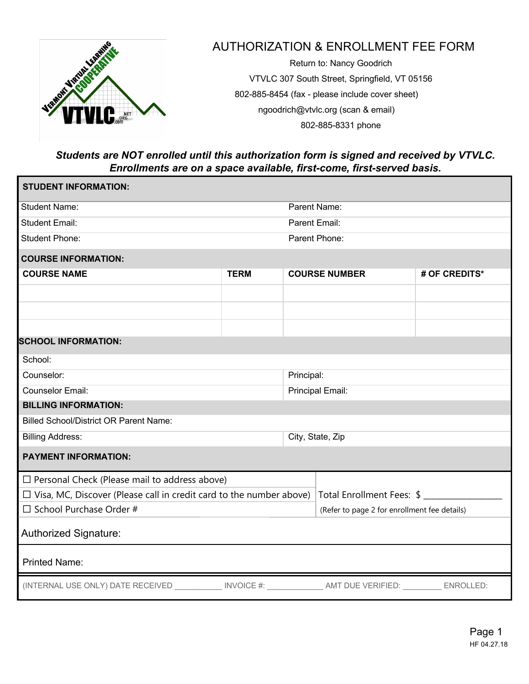

## AUTHORIZATION & ENROLLMENT FEE FORM

Return to: Nancy Goodrich VTVLC 307 South Street, Springfield, VT 05156 802-885-8454 (fax - please include cover sheet) ngoodrich@vtvlc.org (scan & email) 802-885-8331 phone

## *Students are NOT enrolled until this authorization form is signed and received by VTVLC. Enrollments are on a space available, first-come, first-served basis.*

| <b>STUDENT INFORMATION:</b>                                                                         |             |                  |                                              |               |  |
|-----------------------------------------------------------------------------------------------------|-------------|------------------|----------------------------------------------|---------------|--|
| <b>Student Name:</b>                                                                                |             | Parent Name:     |                                              |               |  |
| <b>Student Email:</b>                                                                               |             | Parent Email:    |                                              |               |  |
| <b>Student Phone:</b>                                                                               |             | Parent Phone:    |                                              |               |  |
| <b>COURSE INFORMATION:</b>                                                                          |             |                  |                                              |               |  |
| <b>COURSE NAME</b>                                                                                  | <b>TERM</b> |                  | <b>COURSE NUMBER</b>                         | # OF CREDITS* |  |
|                                                                                                     |             |                  |                                              |               |  |
|                                                                                                     |             |                  |                                              |               |  |
|                                                                                                     |             |                  |                                              |               |  |
| <b>SCHOOL INFORMATION:</b>                                                                          |             |                  |                                              |               |  |
| School:                                                                                             |             |                  |                                              |               |  |
| Counselor:                                                                                          |             | Principal:       |                                              |               |  |
| <b>Counselor Email:</b>                                                                             |             | Principal Email: |                                              |               |  |
| <b>BILLING INFORMATION:</b>                                                                         |             |                  |                                              |               |  |
| <b>Billed School/District OR Parent Name:</b>                                                       |             |                  |                                              |               |  |
| <b>Billing Address:</b>                                                                             |             |                  | City, State, Zip                             |               |  |
| <b>PAYMENT INFORMATION:</b>                                                                         |             |                  |                                              |               |  |
| $\Box$ Personal Check (Please mail to address above)                                                |             |                  |                                              |               |  |
| $\Box$ Visa, MC, Discover (Please call in credit card to the number above)                          |             |                  | Total Enrollment Fees: \$                    |               |  |
| $\Box$ School Purchase Order #                                                                      |             |                  | (Refer to page 2 for enrollment fee details) |               |  |
| <b>Authorized Signature:</b>                                                                        |             |                  |                                              |               |  |
| <b>Printed Name:</b>                                                                                |             |                  |                                              |               |  |
| (INTERNAL USE ONLY) DATE RECEIVED ____________INVOICE #: _____________AMT DUE VERIFIED: ___________ |             |                  |                                              | ENROLLED:     |  |